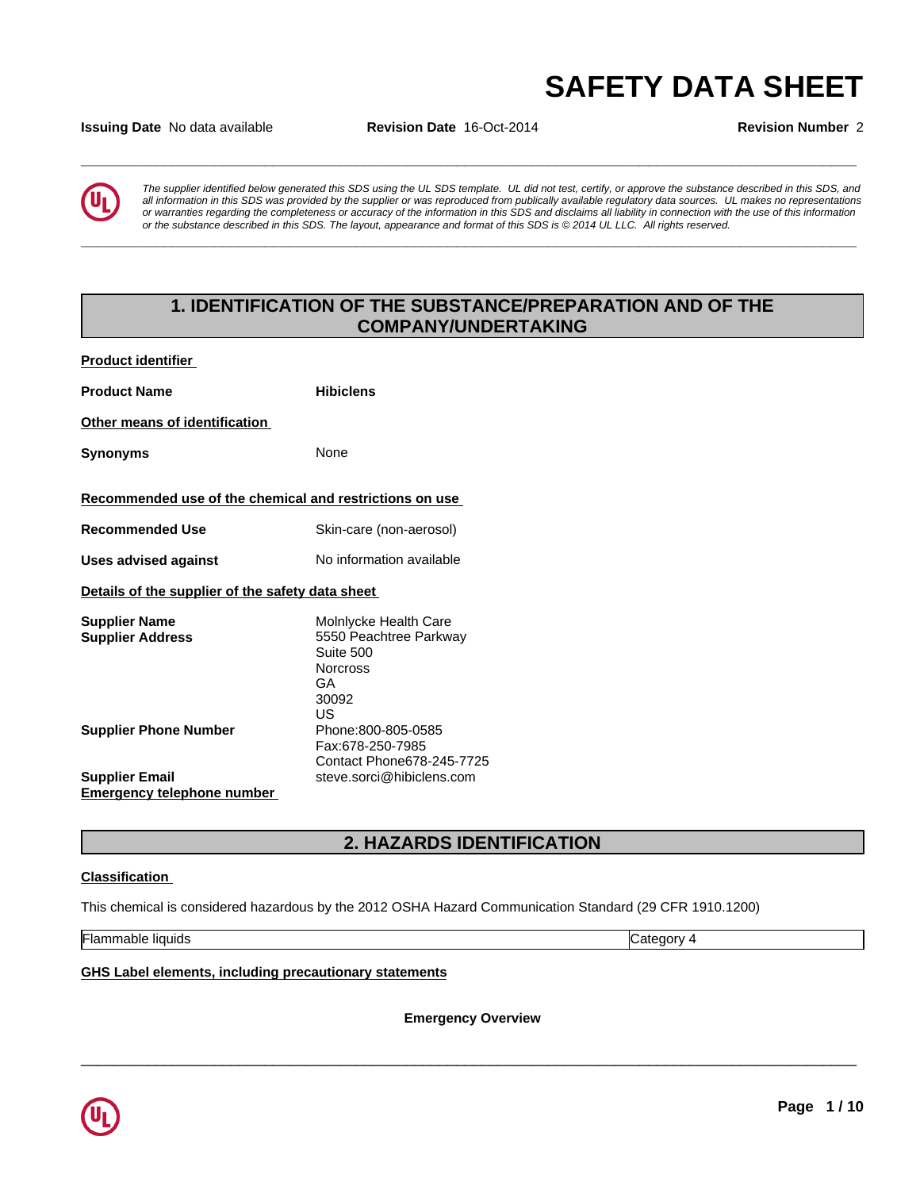# **SAFETY DATA SHEET**<br>Issuing Date No data available Revision Date 16-Oct-2014 Revision Number 2

**Issuing Date** No data available **Revision Date** 16-Oct-2014 **Revision Number** 2



*The supplier identified below generated this SDS using the UL SDS template. UL did not test, certify, or approve the substance described in this SDS, and all information in this SDS was provided by the supplier or was reproduced from publically available regulatory data sources. UL makes no representations or warranties regarding the completeness or accuracy of the information in this SDS and disclaims all liability in connection with the use of this information* or the substance described in this SDS. The layout, appearance and format of this SDS is @2014 UL LLC. All rights reserved.

**\_\_\_\_\_\_\_\_\_\_\_\_\_\_\_\_\_\_\_\_\_\_\_\_\_\_\_\_\_\_\_\_\_\_\_\_\_\_\_\_\_\_\_\_\_\_\_\_\_\_\_\_\_\_\_\_\_\_\_\_\_\_\_\_\_\_\_\_\_\_\_\_\_\_\_\_\_\_\_\_\_\_\_\_\_\_\_\_\_\_\_\_\_**

# **1. IDENTIFICATION OF THE SUBSTANCE/PREPARATION AND OF THE COMPANY/UNDERTAKING**

| <b>Product identifier</b>                               |                                                 |
|---------------------------------------------------------|-------------------------------------------------|
| <b>Product Name</b>                                     | <b>Hibiclens</b>                                |
| Other means of identification                           |                                                 |
| Synonyms                                                | None                                            |
| Recommended use of the chemical and restrictions on use |                                                 |
| <b>Recommended Use</b>                                  | Skin-care (non-aerosol)                         |
| Uses advised against                                    | No information available                        |
| Details of the supplier of the safety data sheet        |                                                 |
| <b>Supplier Name</b><br><b>Supplier Address</b>         | Molnlycke Health Care<br>5550 Peachtree Parkway |

| <b>Supplier Name</b>         | Molnlycke Health Care      |
|------------------------------|----------------------------|
| <b>Supplier Address</b>      | 5550 Peachtree Parkway     |
|                              | Suite 500                  |
|                              | <b>Norcross</b>            |
|                              | GA                         |
|                              | 30092                      |
|                              | US                         |
| <b>Supplier Phone Number</b> | Phone:800-805-0585         |
|                              | Fax:678-250-7985           |
|                              | Contact Phone 678-245-7725 |
| <b>Supplier Email</b>        | steve.sorci@hibiclens.com  |
| Emergency telephone number   |                            |

# **2. HAZARDS IDENTIFICATION**

# **Classification**

This chemical is considered hazardous by the 2012 OSHA Hazard Communication Standard (29 CFR 1910.1200)

Category 4

**GHS Label elements, including precautionary statements**

**Emergency Overview**

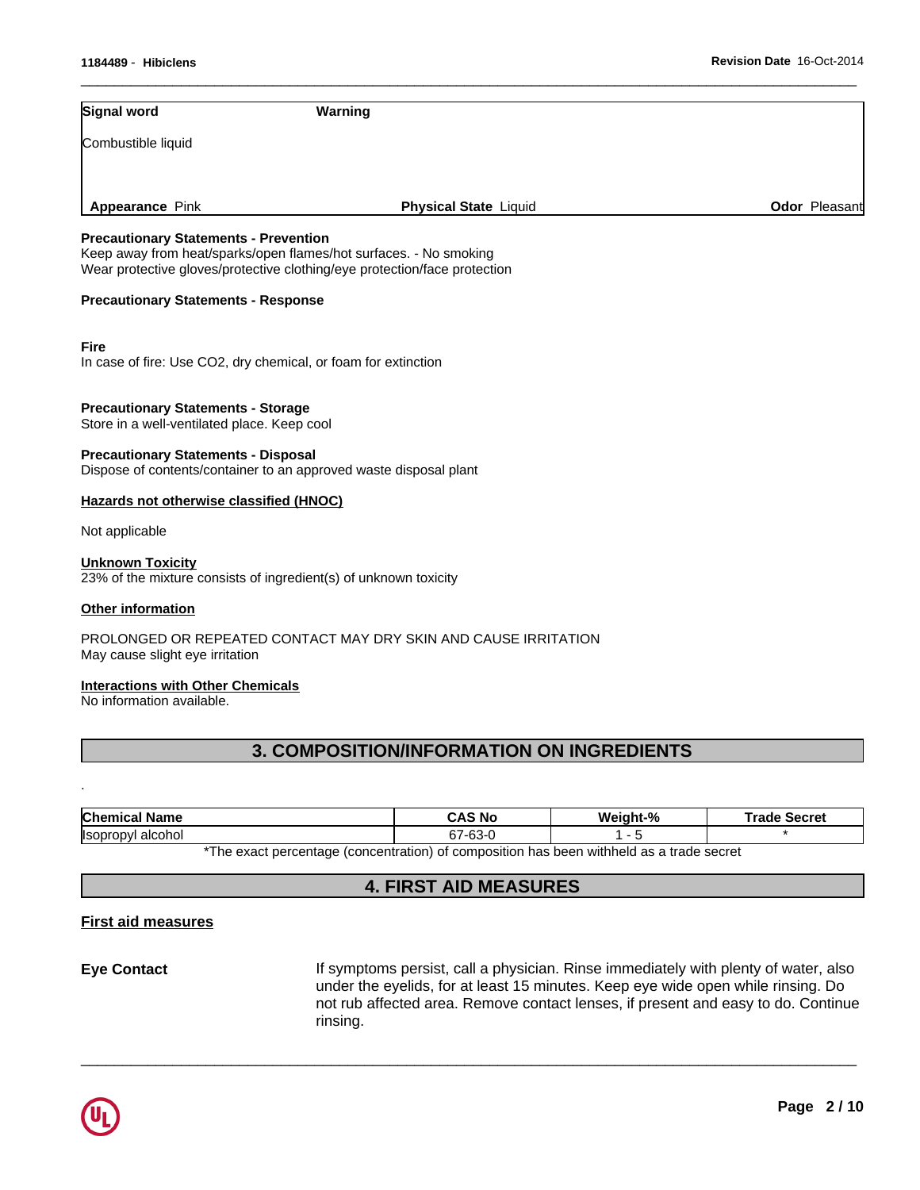| Signal word                                                                                                                                                                                    | Warning                                                                                  |          |                     |
|------------------------------------------------------------------------------------------------------------------------------------------------------------------------------------------------|------------------------------------------------------------------------------------------|----------|---------------------|
| Combustible liquid                                                                                                                                                                             |                                                                                          |          |                     |
| Appearance Pink                                                                                                                                                                                | <b>Physical State Liquid</b>                                                             |          | Odor Pleasant       |
| <b>Precautionary Statements - Prevention</b><br>Keep away from heat/sparks/open flames/hot surfaces. - No smoking<br>Wear protective gloves/protective clothing/eye protection/face protection |                                                                                          |          |                     |
| <b>Precautionary Statements - Response</b>                                                                                                                                                     |                                                                                          |          |                     |
| <b>Fire</b><br>In case of fire: Use CO2, dry chemical, or foam for extinction                                                                                                                  |                                                                                          |          |                     |
| <b>Precautionary Statements - Storage</b><br>Store in a well-ventilated place. Keep cool                                                                                                       |                                                                                          |          |                     |
| <b>Precautionary Statements - Disposal</b><br>Dispose of contents/container to an approved waste disposal plant                                                                                |                                                                                          |          |                     |
| Hazards not otherwise classified (HNOC)                                                                                                                                                        |                                                                                          |          |                     |
| Not applicable                                                                                                                                                                                 |                                                                                          |          |                     |
| <b>Unknown Toxicity</b><br>23% of the mixture consists of ingredient(s) of unknown toxicity                                                                                                    |                                                                                          |          |                     |
| <b>Other information</b>                                                                                                                                                                       |                                                                                          |          |                     |
| May cause slight eye irritation                                                                                                                                                                | PROLONGED OR REPEATED CONTACT MAY DRY SKIN AND CAUSE IRRITATION                          |          |                     |
| <b>Interactions with Other Chemicals</b><br>No information available.                                                                                                                          |                                                                                          |          |                     |
|                                                                                                                                                                                                | 3. COMPOSITION/INFORMATION ON INGREDIENTS                                                |          |                     |
|                                                                                                                                                                                                |                                                                                          |          |                     |
| <b>Chemical Name</b>                                                                                                                                                                           | <b>CAS No</b>                                                                            | Weight-% | <b>Trade Secret</b> |
| Isopropyl alcohol                                                                                                                                                                              | 67-63-0                                                                                  | $1 - 5$  |                     |
|                                                                                                                                                                                                | *The exact percentage (concentration) of composition has been withheld as a trade secret |          |                     |
|                                                                                                                                                                                                | <b>4. FIRST AID MEASURES</b>                                                             |          |                     |

# **First aid measures**

**Eye Contact** If symptoms persist, call a physician. Rinse immediately with plenty of water, also under the eyelids, for at least 15 minutes. Keep eye wide open while rinsing. Do not rub affected area. Remove contact lenses, if present and easy to do. Continue rinsing.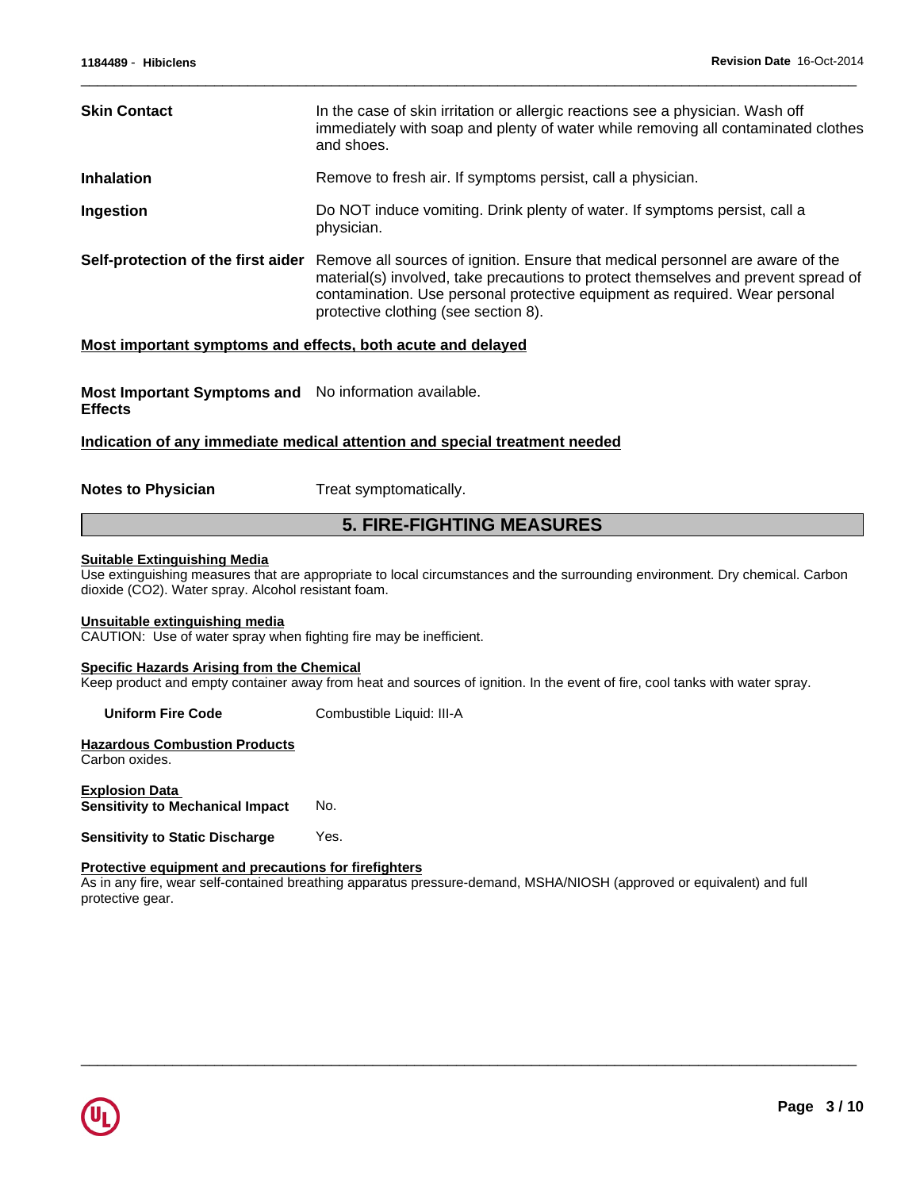| <b>Skin Contact</b>                | In the case of skin irritation or allergic reactions see a physician. Wash off<br>immediately with soap and plenty of water while removing all contaminated clothes<br>and shoes.                                                                                                           |
|------------------------------------|---------------------------------------------------------------------------------------------------------------------------------------------------------------------------------------------------------------------------------------------------------------------------------------------|
| <b>Inhalation</b>                  | Remove to fresh air. If symptoms persist, call a physician.                                                                                                                                                                                                                                 |
| Ingestion                          | Do NOT induce vomiting. Drink plenty of water. If symptoms persist, call a<br>physician.                                                                                                                                                                                                    |
| Self-protection of the first aider | Remove all sources of ignition. Ensure that medical personnel are aware of the<br>material(s) involved, take precautions to protect themselves and prevent spread of<br>contamination. Use personal protective equipment as required. Wear personal<br>protective clothing (see section 8). |

 $\overline{\phantom{a}}$  ,  $\overline{\phantom{a}}$  ,  $\overline{\phantom{a}}$  ,  $\overline{\phantom{a}}$  ,  $\overline{\phantom{a}}$  ,  $\overline{\phantom{a}}$  ,  $\overline{\phantom{a}}$  ,  $\overline{\phantom{a}}$  ,  $\overline{\phantom{a}}$  ,  $\overline{\phantom{a}}$  ,  $\overline{\phantom{a}}$  ,  $\overline{\phantom{a}}$  ,  $\overline{\phantom{a}}$  ,  $\overline{\phantom{a}}$  ,  $\overline{\phantom{a}}$  ,  $\overline{\phantom{a}}$ 

# **Most important symptoms and effects, both acute and delayed**

**Most Important Symptoms and** No information available. **Effects**

# **Indication of any immediate medical attention and special treatment needed**

**Notes to Physician** Treat symptomatically.

# **5. FIRE-FIGHTING MEASURES**

#### **Suitable Extinguishing Media**

Use extinguishing measures that are appropriate to local circumstances and the surrounding environment. Dry chemical. Carbon dioxide (CO2). Water spray. Alcohol resistant foam.

#### **Unsuitable extinguishing media**

CAUTION: Use of water spray when fighting fire may be inefficient.

# **Specific Hazards Arising from the Chemical**

Keep product and empty container away from heat and sources of ignition. In the event of fire, cool tanks with water spray.

**Uniform Fire Code** Combustible Liquid: III-A

#### **Hazardous Combustion Products** Carbon oxides.

**Explosion Data Sensitivity to Mechanical Impact No.** 

**Sensitivity to Static Discharge Yes.** 

# **Protective equipment and precautions for firefighters**

As in any fire, wear self-contained breathing apparatus pressure-demand, MSHA/NIOSH (approved or equivalent) and full protective gear.

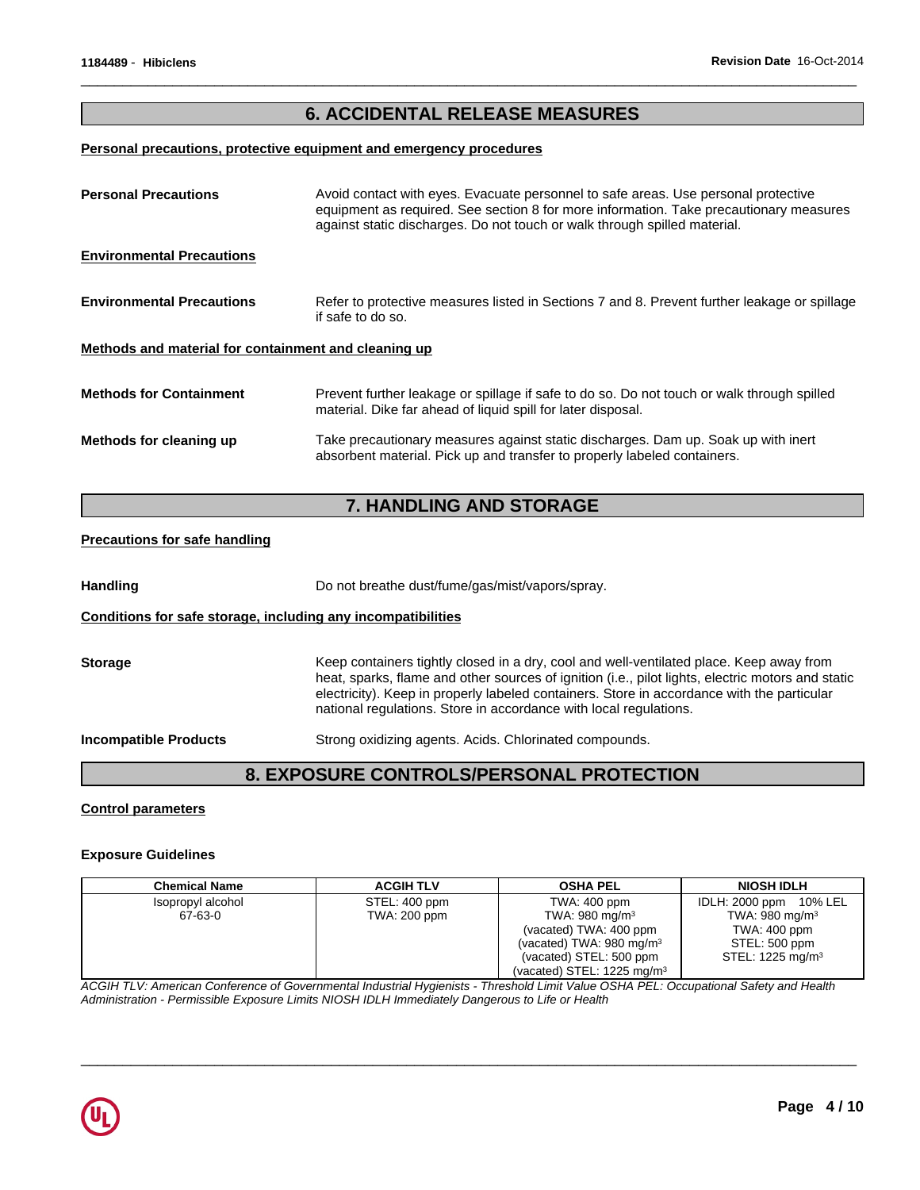# **6. ACCIDENTAL RELEASE MEASURES**

 $\overline{\phantom{a}}$  ,  $\overline{\phantom{a}}$  ,  $\overline{\phantom{a}}$  ,  $\overline{\phantom{a}}$  ,  $\overline{\phantom{a}}$  ,  $\overline{\phantom{a}}$  ,  $\overline{\phantom{a}}$  ,  $\overline{\phantom{a}}$  ,  $\overline{\phantom{a}}$  ,  $\overline{\phantom{a}}$  ,  $\overline{\phantom{a}}$  ,  $\overline{\phantom{a}}$  ,  $\overline{\phantom{a}}$  ,  $\overline{\phantom{a}}$  ,  $\overline{\phantom{a}}$  ,  $\overline{\phantom{a}}$ 

# **Personal precautions, protective equipment and emergency procedures**

| <b>Personal Precautions</b>                          | Avoid contact with eyes. Evacuate personnel to safe areas. Use personal protective<br>equipment as required. See section 8 for more information. Take precautionary measures<br>against static discharges. Do not touch or walk through spilled material. |
|------------------------------------------------------|-----------------------------------------------------------------------------------------------------------------------------------------------------------------------------------------------------------------------------------------------------------|
| <b>Environmental Precautions</b>                     |                                                                                                                                                                                                                                                           |
| <b>Environmental Precautions</b>                     | Refer to protective measures listed in Sections 7 and 8. Prevent further leakage or spillage<br>if safe to do so.                                                                                                                                         |
| Methods and material for containment and cleaning up |                                                                                                                                                                                                                                                           |
| <b>Methods for Containment</b>                       | Prevent further leakage or spillage if safe to do so. Do not touch or walk through spilled<br>material. Dike far ahead of liquid spill for later disposal.                                                                                                |
| Methods for cleaning up                              | Take precautionary measures against static discharges. Dam up. Soak up with inert<br>absorbent material. Pick up and transfer to properly labeled containers.                                                                                             |
|                                                      |                                                                                                                                                                                                                                                           |

# **7. HANDLING AND STORAGE**

#### **Precautions for safe handling**

Handling **Handling** Do not breathe dust/fume/gas/mist/vapors/spray.

# **Conditions for safe storage, including any incompatibilities**

**Storage** Keep containers tightly closed in a dry, cool and well-ventilated place. Keep away from heat, sparks, flame and other sources of ignition (i.e., pilot lights, electric motors and static electricity). Keep in properly labeled containers. Store in accordance with the particular national regulations. Store in accordance with local regulations.

**Incompatible Products** Strong oxidizing agents. Acids. Chlorinated compounds.

# **8. EXPOSURE CONTROLS/PERSONAL PROTECTION**

#### **Control parameters**

#### **Exposure Guidelines**

| <b>Chemical Name</b> | <b>ACGIH TLV</b> | <b>OSHA PEL</b>                       | <b>NIOSH IDLH</b>            |
|----------------------|------------------|---------------------------------------|------------------------------|
| Isopropyl alcohol    | STEL: 400 ppm    | TWA: 400 ppm                          | IDLH: 2000 ppm 10% LEL       |
| 67-63-0              | TWA: 200 ppm     | TWA: 980 mg/m $3$                     | TWA: 980 mg/m <sup>3</sup>   |
|                      |                  | (vacated) TWA: 400 ppm                | TWA: 400 ppm                 |
|                      |                  | (vacated) TWA: $980 \text{ mg/m}^3$   | STEL: 500 ppm                |
|                      |                  | (vacated) STEL: 500 ppm               | STEL: 1225 mg/m <sup>3</sup> |
|                      |                  | (vacated) STEL: $1225 \text{ mg/m}^3$ |                              |

*ACGIH TLV: American Conference of Governmental Industrial Hygienists - Threshold Limit Value OSHA PEL: Occupational Safety and Health Administration - Permissible Exposure Limits NIOSH IDLH Immediately Dangerous to Life or Health*

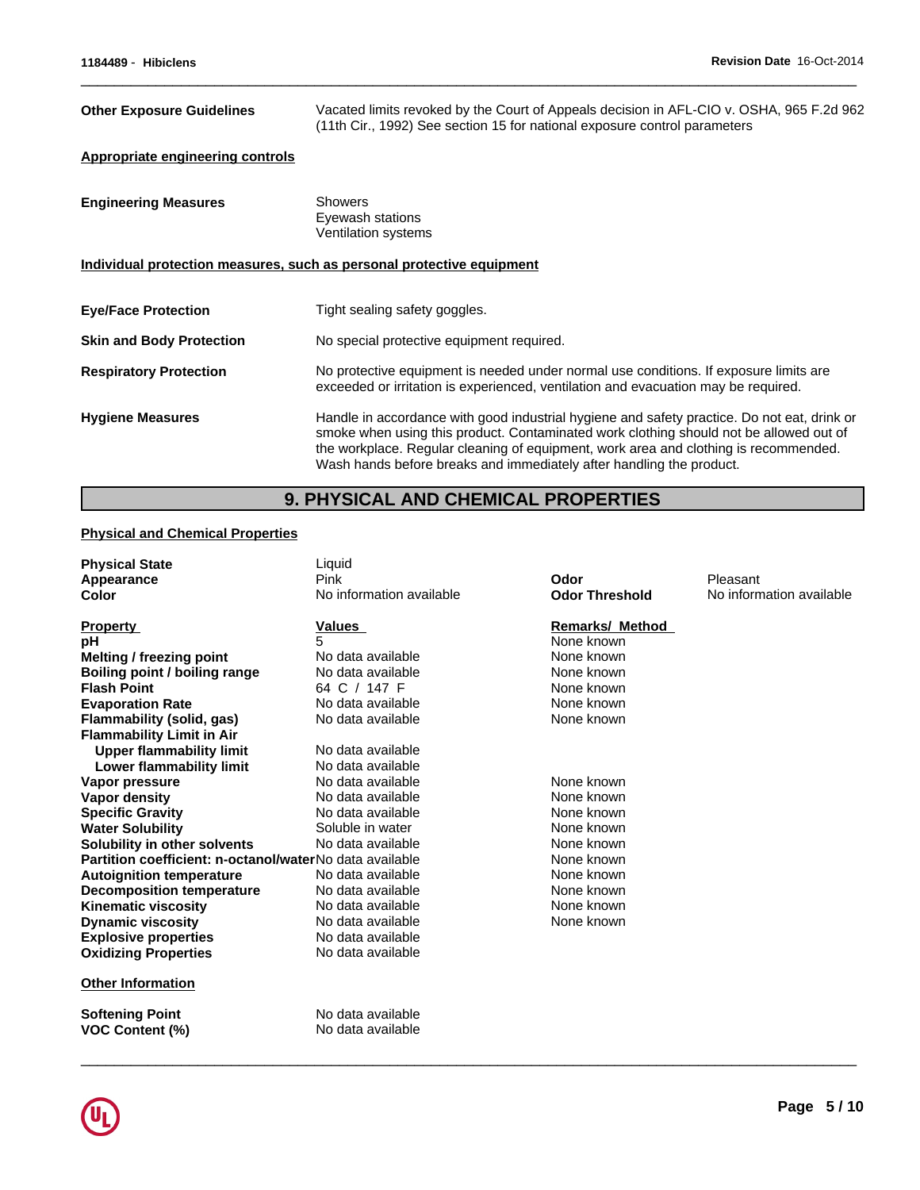| <b>Other Exposure Guidelines</b><br>Vacated limits revoked by the Court of Appeals decision in AFL-CIO v. OSHA, 965 F.2d 962<br>(11th Cir., 1992) See section 15 for national exposure control parameters |                                                                                                                                                                                                                                                                                                                                                       |
|-----------------------------------------------------------------------------------------------------------------------------------------------------------------------------------------------------------|-------------------------------------------------------------------------------------------------------------------------------------------------------------------------------------------------------------------------------------------------------------------------------------------------------------------------------------------------------|
| Appropriate engineering controls                                                                                                                                                                          |                                                                                                                                                                                                                                                                                                                                                       |
| <b>Engineering Measures</b>                                                                                                                                                                               | <b>Showers</b><br>Eyewash stations<br>Ventilation systems                                                                                                                                                                                                                                                                                             |
|                                                                                                                                                                                                           | Individual protection measures, such as personal protective equipment                                                                                                                                                                                                                                                                                 |
| <b>Eye/Face Protection</b>                                                                                                                                                                                | Tight sealing safety goggles.                                                                                                                                                                                                                                                                                                                         |
| <b>Skin and Body Protection</b>                                                                                                                                                                           | No special protective equipment required.                                                                                                                                                                                                                                                                                                             |
| <b>Respiratory Protection</b>                                                                                                                                                                             | No protective equipment is needed under normal use conditions. If exposure limits are<br>exceeded or irritation is experienced, ventilation and evacuation may be required.                                                                                                                                                                           |
| <b>Hygiene Measures</b>                                                                                                                                                                                   | Handle in accordance with good industrial hygiene and safety practice. Do not eat, drink or<br>smoke when using this product. Contaminated work clothing should not be allowed out of<br>the workplace. Regular cleaning of equipment, work area and clothing is recommended.<br>Wash hands before breaks and immediately after handling the product. |

 $\overline{\phantom{a}}$  ,  $\overline{\phantom{a}}$  ,  $\overline{\phantom{a}}$  ,  $\overline{\phantom{a}}$  ,  $\overline{\phantom{a}}$  ,  $\overline{\phantom{a}}$  ,  $\overline{\phantom{a}}$  ,  $\overline{\phantom{a}}$  ,  $\overline{\phantom{a}}$  ,  $\overline{\phantom{a}}$  ,  $\overline{\phantom{a}}$  ,  $\overline{\phantom{a}}$  ,  $\overline{\phantom{a}}$  ,  $\overline{\phantom{a}}$  ,  $\overline{\phantom{a}}$  ,  $\overline{\phantom{a}}$ 

# **9. PHYSICAL AND CHEMICAL PROPERTIES**

# **Physical and Chemical Properties**

| <b>Physical State</b>                                   | Liquid                   |                        |                          |
|---------------------------------------------------------|--------------------------|------------------------|--------------------------|
| Appearance                                              | Pink                     | Odor                   | Pleasant                 |
| Color                                                   | No information available | <b>Odor Threshold</b>  | No information available |
| <b>Property</b>                                         | Values                   | <b>Remarks/ Method</b> |                          |
| pН                                                      | 5                        | None known             |                          |
| Melting / freezing point                                | No data available        | None known             |                          |
| Boiling point / boiling range                           | No data available        | None known             |                          |
| <b>Flash Point</b>                                      | 64 C / 147 F             | None known             |                          |
| <b>Evaporation Rate</b>                                 | No data available        | None known             |                          |
| Flammability (solid, gas)                               | No data available        | None known             |                          |
| <b>Flammability Limit in Air</b>                        |                          |                        |                          |
| <b>Upper flammability limit</b>                         | No data available        |                        |                          |
| Lower flammability limit                                | No data available        |                        |                          |
| Vapor pressure                                          | No data available        | None known             |                          |
| Vapor density                                           | No data available        | None known             |                          |
| <b>Specific Gravity</b>                                 | No data available        | None known             |                          |
| <b>Water Solubility</b>                                 | Soluble in water         | None known             |                          |
| Solubility in other solvents                            | No data available        | None known             |                          |
| Partition coefficient: n-octanol/waterNo data available |                          | None known             |                          |
| <b>Autoignition temperature</b>                         | No data available        | None known             |                          |
| <b>Decomposition temperature</b>                        | No data available        | None known             |                          |
| <b>Kinematic viscosity</b>                              | No data available        | None known             |                          |
| <b>Dynamic viscosity</b>                                | No data available        | None known             |                          |
| <b>Explosive properties</b>                             | No data available        |                        |                          |
| <b>Oxidizing Properties</b>                             | No data available        |                        |                          |
| <b>Other Information</b>                                |                          |                        |                          |
| <b>Softening Point</b>                                  | No data available        |                        |                          |
| VOC Content (%)                                         | No data available        |                        |                          |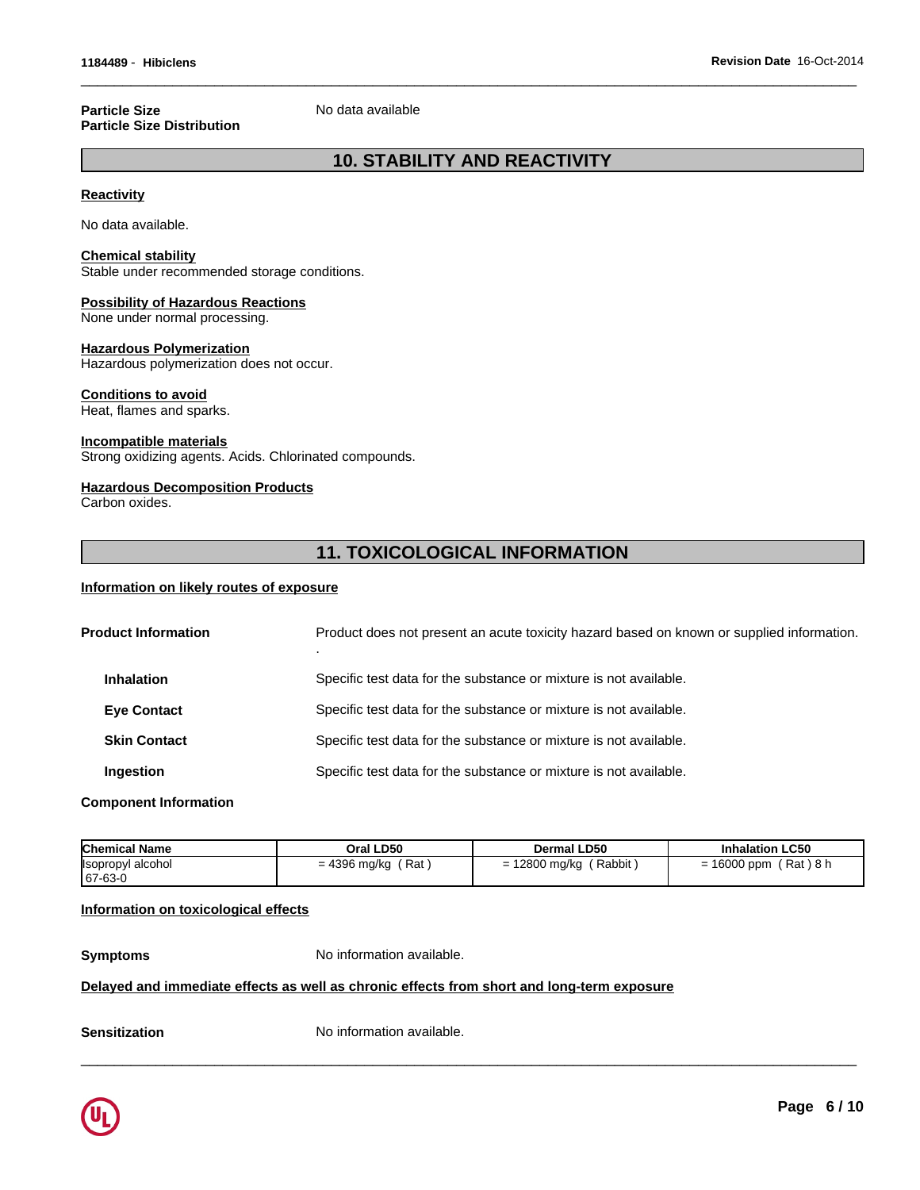# **Particle Size** No data available **Particle Size Distribution**

# **10. STABILITY AND REACTIVITY**

 $\overline{\phantom{a}}$  ,  $\overline{\phantom{a}}$  ,  $\overline{\phantom{a}}$  ,  $\overline{\phantom{a}}$  ,  $\overline{\phantom{a}}$  ,  $\overline{\phantom{a}}$  ,  $\overline{\phantom{a}}$  ,  $\overline{\phantom{a}}$  ,  $\overline{\phantom{a}}$  ,  $\overline{\phantom{a}}$  ,  $\overline{\phantom{a}}$  ,  $\overline{\phantom{a}}$  ,  $\overline{\phantom{a}}$  ,  $\overline{\phantom{a}}$  ,  $\overline{\phantom{a}}$  ,  $\overline{\phantom{a}}$ 

# **Reactivity**

No data available.

#### **Chemical stability** Stable under recommended storage conditions.

# **Possibility of Hazardous Reactions**

None under normal processing.

#### **Hazardous Polymerization**

Hazardous polymerization does not occur.

# **Conditions to avoid**

Heat, flames and sparks.

#### **Incompatible materials**

Strong oxidizing agents. Acids. Chlorinated compounds.

# **Hazardous Decomposition Products**

Carbon oxides.

# **11. TOXICOLOGICAL INFORMATION**

# **Information on likely routes of exposure**

| <b>Product Information</b>                | Product does not present an acute toxicity hazard based on known or supplied information. |
|-------------------------------------------|-------------------------------------------------------------------------------------------|
| <b>Inhalation</b>                         | Specific test data for the substance or mixture is not available.                         |
| <b>Eve Contact</b>                        | Specific test data for the substance or mixture is not available.                         |
| <b>Skin Contact</b>                       | Specific test data for the substance or mixture is not available.                         |
|                                           |                                                                                           |
| <b>Ingestion</b><br>Comnonant Information | Specific test data for the substance or mixture is not available.                         |

# **Component Information**

| <b>Chemical Name</b>                   | Oral LD50           | Dermal LD50                  | <b>Inhalation LC50</b>       |
|----------------------------------------|---------------------|------------------------------|------------------------------|
| <b>Isopropyl alcohol</b><br>$ 67-63-0$ | Rat<br>= 4396 mg/kg | Rabbit<br>12800 mg/kg<br>. T | ˈRat ) 8 h<br>16000 ppm<br>= |

 $\overline{\phantom{a}}$  ,  $\overline{\phantom{a}}$  ,  $\overline{\phantom{a}}$  ,  $\overline{\phantom{a}}$  ,  $\overline{\phantom{a}}$  ,  $\overline{\phantom{a}}$  ,  $\overline{\phantom{a}}$  ,  $\overline{\phantom{a}}$  ,  $\overline{\phantom{a}}$  ,  $\overline{\phantom{a}}$  ,  $\overline{\phantom{a}}$  ,  $\overline{\phantom{a}}$  ,  $\overline{\phantom{a}}$  ,  $\overline{\phantom{a}}$  ,  $\overline{\phantom{a}}$  ,  $\overline{\phantom{a}}$ 

# **Information on toxicological effects**

**Symptoms** No information available.

# **Delayed and immediate effects as well as chronic effects from short and long-term exposure**

**Sensitization** No information available.

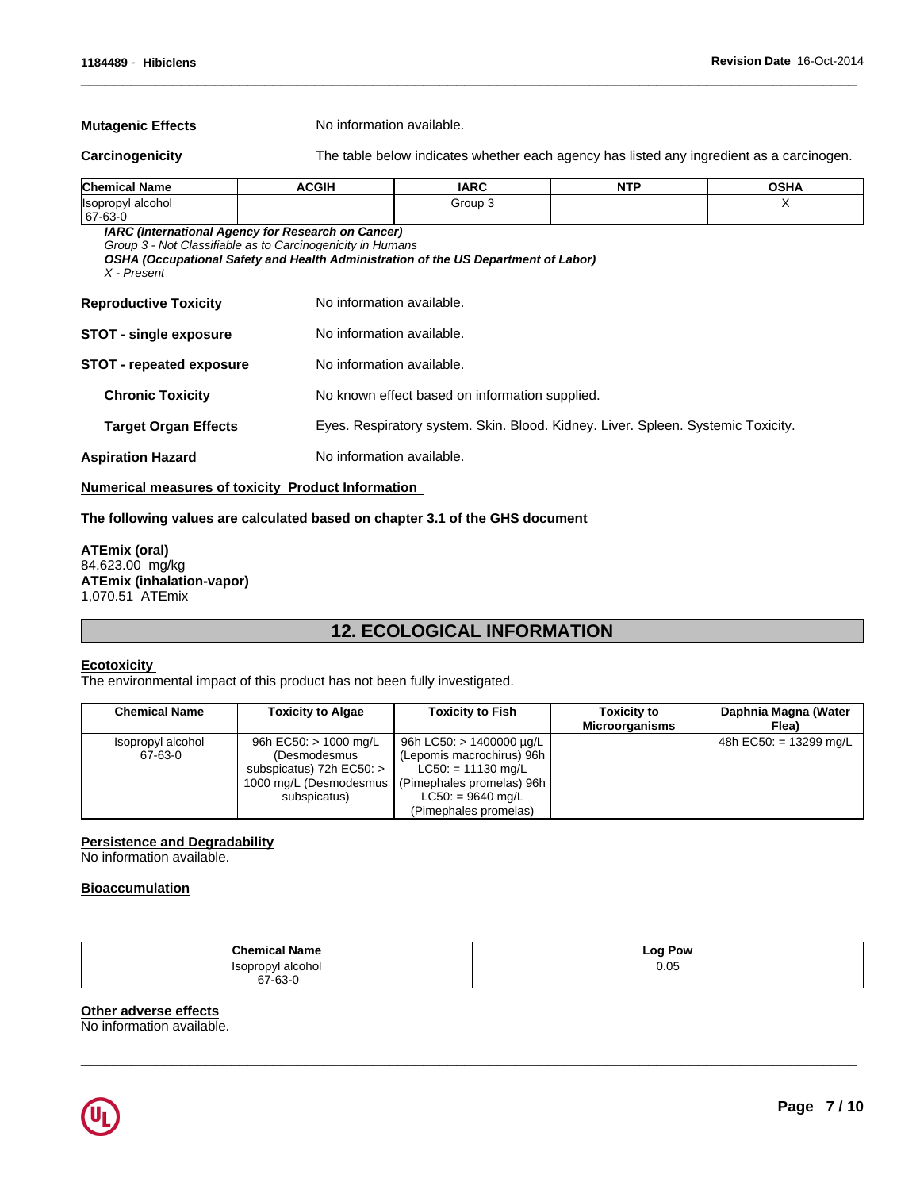**Mutagenic Effects** No information available.

**Carcinogenicity** The table below indicates whether each agency has listed any ingredient as a carcinogen.

 $\overline{\phantom{a}}$  ,  $\overline{\phantom{a}}$  ,  $\overline{\phantom{a}}$  ,  $\overline{\phantom{a}}$  ,  $\overline{\phantom{a}}$  ,  $\overline{\phantom{a}}$  ,  $\overline{\phantom{a}}$  ,  $\overline{\phantom{a}}$  ,  $\overline{\phantom{a}}$  ,  $\overline{\phantom{a}}$  ,  $\overline{\phantom{a}}$  ,  $\overline{\phantom{a}}$  ,  $\overline{\phantom{a}}$  ,  $\overline{\phantom{a}}$  ,  $\overline{\phantom{a}}$  ,  $\overline{\phantom{a}}$ 

| <b>Chemical Name</b>            | <b>ACGIH</b>                                                                                                     | <b>IARC</b>                                                                        | <b>NTP</b> | <b>OSHA</b> |  |  |
|---------------------------------|------------------------------------------------------------------------------------------------------------------|------------------------------------------------------------------------------------|------------|-------------|--|--|
| Isopropyl alcohol<br>  67-63-0  |                                                                                                                  | Group 3                                                                            |            | X           |  |  |
| $X$ - Present                   | IARC (International Agency for Research on Cancer)<br>Group 3 - Not Classifiable as to Carcinogenicity in Humans | OSHA (Occupational Safety and Health Administration of the US Department of Labor) |            |             |  |  |
| <b>Reproductive Toxicity</b>    | No information available.                                                                                        |                                                                                    |            |             |  |  |
| <b>STOT - single exposure</b>   |                                                                                                                  | No information available.                                                          |            |             |  |  |
| <b>STOT - repeated exposure</b> | No information available.                                                                                        |                                                                                    |            |             |  |  |
| <b>Chronic Toxicity</b>         |                                                                                                                  | No known effect based on information supplied.                                     |            |             |  |  |
| <b>Target Organ Effects</b>     |                                                                                                                  | Eyes. Respiratory system. Skin. Blood. Kidney. Liver. Spleen. Systemic Toxicity.   |            |             |  |  |
| <b>Aspiration Hazard</b>        |                                                                                                                  | No information available.                                                          |            |             |  |  |

**Numerical measures of toxicity Product Information** 

#### **The following values are calculated based on chapter 3.1 of the GHS document**

**ATEmix (oral)** 84,623.00 mg/kg **ATEmix (inhalation-vapor)** 1,070.51 ATEmix

# **12. ECOLOGICAL INFORMATION**

#### **Ecotoxicity**

The environmental impact of this product has not been fully investigated.

| <b>Chemical Name</b>         | <b>Toxicity to Algae</b>                                                                                        | <b>Toxicity to Fish</b>                                                                                                                                      | <b>Toxicity to</b><br><b>Microorganisms</b> | Daphnia Magna (Water<br>Flea) |
|------------------------------|-----------------------------------------------------------------------------------------------------------------|--------------------------------------------------------------------------------------------------------------------------------------------------------------|---------------------------------------------|-------------------------------|
| Isopropyl alcohol<br>67-63-0 | 96h EC50: > 1000 mg/L<br>(Desmodesmus<br>subspicatus) 72h EC50: $>$<br>1000 mg/L (Desmodesmus  <br>subspicatus) | 96h LC50: > 1400000 µg/L<br>(Lepomis macrochirus) 96h  <br>$LC50: = 11130$ mg/L<br>(Pimephales promelas) 96h<br>$LC50: = 9640$ mg/L<br>(Pimephales promelas) |                                             | 48h EC50: = 13299 mg/L        |

# **Persistence and Degradability**

No information available.

# **Bioaccumulation**

| .<br><b>Chemical Name</b> | ≅ Pow<br>Log |
|---------------------------|--------------|
| alcohol<br>$\ddotsc$      | 0.05         |
| 67-63-0                   |              |

 $\overline{\phantom{a}}$  ,  $\overline{\phantom{a}}$  ,  $\overline{\phantom{a}}$  ,  $\overline{\phantom{a}}$  ,  $\overline{\phantom{a}}$  ,  $\overline{\phantom{a}}$  ,  $\overline{\phantom{a}}$  ,  $\overline{\phantom{a}}$  ,  $\overline{\phantom{a}}$  ,  $\overline{\phantom{a}}$  ,  $\overline{\phantom{a}}$  ,  $\overline{\phantom{a}}$  ,  $\overline{\phantom{a}}$  ,  $\overline{\phantom{a}}$  ,  $\overline{\phantom{a}}$  ,  $\overline{\phantom{a}}$ 

#### **Other adverse effects**

No information available.

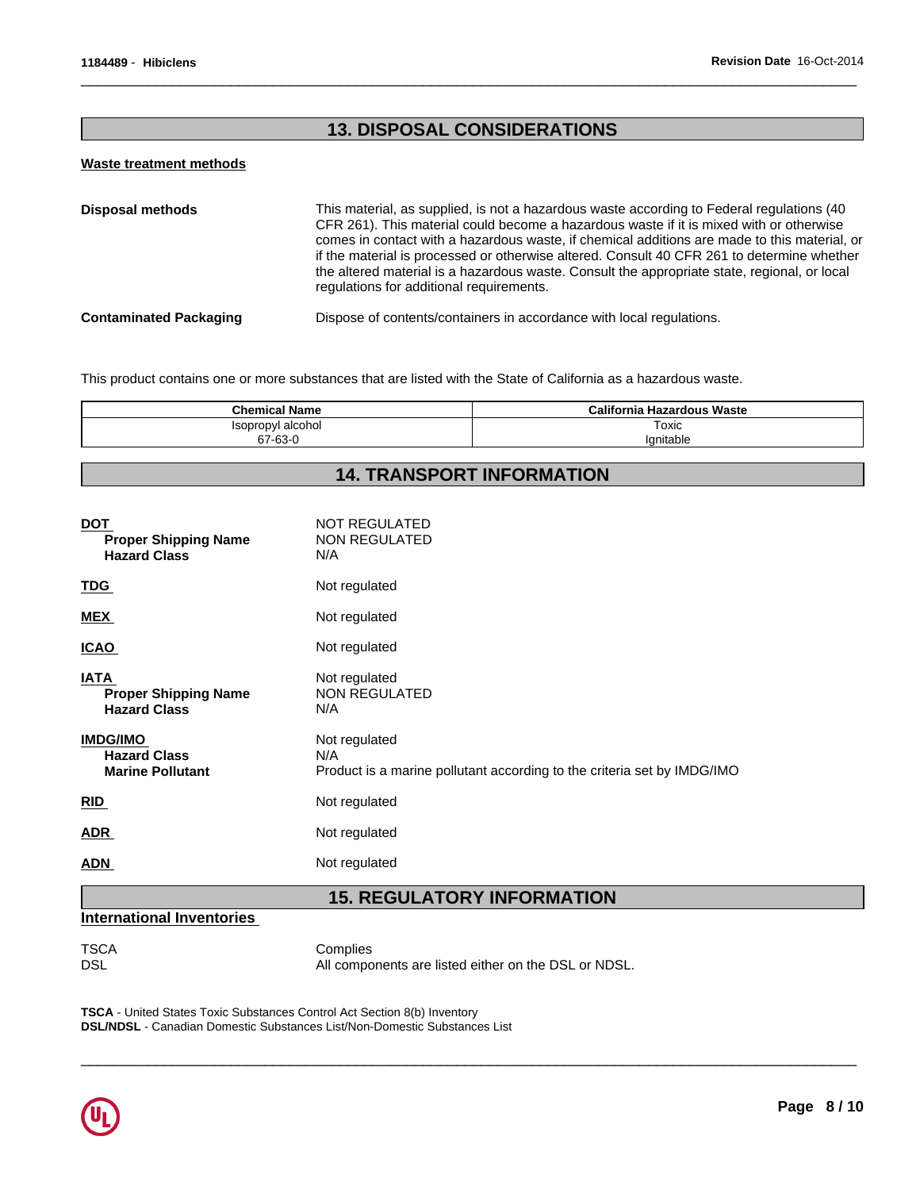# **13. DISPOSAL CONSIDERATIONS**

 $\overline{\phantom{a}}$  ,  $\overline{\phantom{a}}$  ,  $\overline{\phantom{a}}$  ,  $\overline{\phantom{a}}$  ,  $\overline{\phantom{a}}$  ,  $\overline{\phantom{a}}$  ,  $\overline{\phantom{a}}$  ,  $\overline{\phantom{a}}$  ,  $\overline{\phantom{a}}$  ,  $\overline{\phantom{a}}$  ,  $\overline{\phantom{a}}$  ,  $\overline{\phantom{a}}$  ,  $\overline{\phantom{a}}$  ,  $\overline{\phantom{a}}$  ,  $\overline{\phantom{a}}$  ,  $\overline{\phantom{a}}$ 

# **Waste treatment methods**

| <b>Disposal methods</b>       | This material, as supplied, is not a hazardous waste according to Federal regulations (40<br>CFR 261). This material could become a hazardous waste if it is mixed with or otherwise<br>comes in contact with a hazardous waste, if chemical additions are made to this material, or<br>if the material is processed or otherwise altered. Consult 40 CFR 261 to determine whether<br>the altered material is a hazardous waste. Consult the appropriate state, regional, or local<br>regulations for additional requirements. |
|-------------------------------|--------------------------------------------------------------------------------------------------------------------------------------------------------------------------------------------------------------------------------------------------------------------------------------------------------------------------------------------------------------------------------------------------------------------------------------------------------------------------------------------------------------------------------|
| <b>Contaminated Packaging</b> | Dispose of contents/containers in accordance with local regulations.                                                                                                                                                                                                                                                                                                                                                                                                                                                           |

This product contains one or more substances that are listed with the State of California as a hazardous waste.

| <b>Chemical Name</b> | <b>Hazardous Waste</b><br>:alifr<br>ornia |
|----------------------|-------------------------------------------|
| Isopropyl alcohol    | Toxic                                     |
| 67-63-0              | 'anitable                                 |

# **14. TRANSPORT INFORMATION**

| <b>DOT</b><br><b>Proper Shipping Name</b><br><b>Hazard Class</b>  | <b>NOT REGULATED</b><br>NON REGULATED<br>N/A                                                    |
|-------------------------------------------------------------------|-------------------------------------------------------------------------------------------------|
| <b>TDG</b>                                                        | Not regulated                                                                                   |
| <b>MEX</b>                                                        | Not regulated                                                                                   |
| <b>ICAO</b>                                                       | Not regulated                                                                                   |
| <b>IATA</b><br><b>Proper Shipping Name</b><br><b>Hazard Class</b> | Not regulated<br><b>NON REGULATED</b><br>N/A                                                    |
| <b>IMDG/IMO</b><br><b>Hazard Class</b><br><b>Marine Pollutant</b> | Not regulated<br>N/A<br>Product is a marine pollutant according to the criteria set by IMDG/IMO |
| RID                                                               | Not regulated                                                                                   |
| <b>ADR</b>                                                        | Not regulated                                                                                   |
| <u>ADN</u>                                                        | Not regulated                                                                                   |

# **15. REGULATORY INFORMATION**

# **International Inventories**

TSCA Complies DSL DSL **DISL COMPONENTS** All components are listed either on the DSL or NDSL.

 $\overline{\phantom{a}}$  ,  $\overline{\phantom{a}}$  ,  $\overline{\phantom{a}}$  ,  $\overline{\phantom{a}}$  ,  $\overline{\phantom{a}}$  ,  $\overline{\phantom{a}}$  ,  $\overline{\phantom{a}}$  ,  $\overline{\phantom{a}}$  ,  $\overline{\phantom{a}}$  ,  $\overline{\phantom{a}}$  ,  $\overline{\phantom{a}}$  ,  $\overline{\phantom{a}}$  ,  $\overline{\phantom{a}}$  ,  $\overline{\phantom{a}}$  ,  $\overline{\phantom{a}}$  ,  $\overline{\phantom{a}}$ 

**TSCA** - United States Toxic Substances Control Act Section 8(b) Inventory

**DSL/NDSL** - Canadian Domestic Substances List/Non-Domestic Substances List

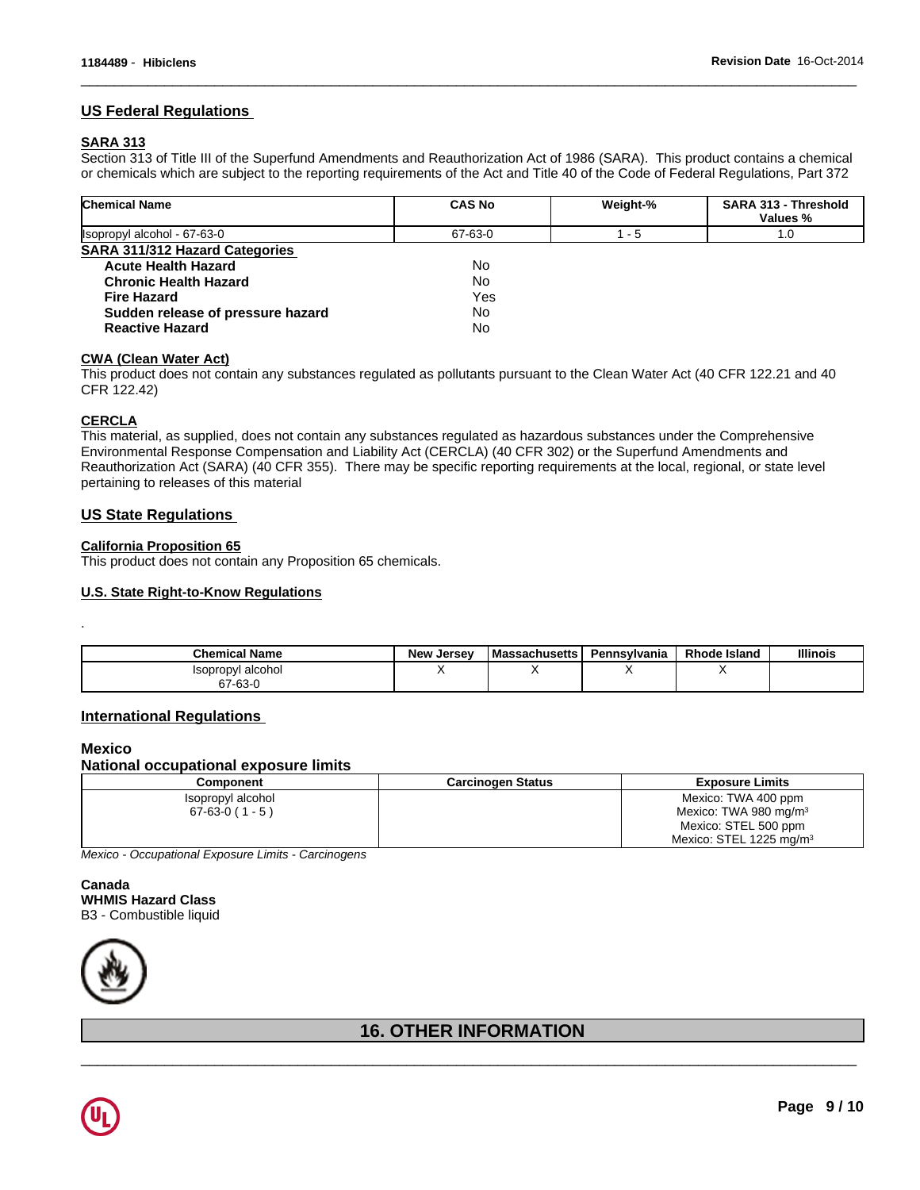# **US Federal Regulations**

# **SARA 313**

Section 313 of Title III of the Superfund Amendments and Reauthorization Act of 1986 (SARA). This product contains a chemical or chemicals which are subject to the reporting requirements of the Act and Title 40 of the Code of Federal Regulations, Part 372

 $\overline{\phantom{a}}$  ,  $\overline{\phantom{a}}$  ,  $\overline{\phantom{a}}$  ,  $\overline{\phantom{a}}$  ,  $\overline{\phantom{a}}$  ,  $\overline{\phantom{a}}$  ,  $\overline{\phantom{a}}$  ,  $\overline{\phantom{a}}$  ,  $\overline{\phantom{a}}$  ,  $\overline{\phantom{a}}$  ,  $\overline{\phantom{a}}$  ,  $\overline{\phantom{a}}$  ,  $\overline{\phantom{a}}$  ,  $\overline{\phantom{a}}$  ,  $\overline{\phantom{a}}$  ,  $\overline{\phantom{a}}$ 

| <b>Chemical Name</b>                  | <b>CAS No</b> | Weight-% | SARA 313 - Threshold<br>Values % |
|---------------------------------------|---------------|----------|----------------------------------|
| Isopropyl alcohol - 67-63-0           | 67-63-0       | l - 5    | 1.0                              |
| <b>SARA 311/312 Hazard Categories</b> |               |          |                                  |
| <b>Acute Health Hazard</b>            | No            |          |                                  |
| <b>Chronic Health Hazard</b>          | No            |          |                                  |
| <b>Fire Hazard</b>                    | Yes           |          |                                  |
| Sudden release of pressure hazard     | No            |          |                                  |
| <b>Reactive Hazard</b>                | No            |          |                                  |

#### **CWA (Clean Water Act)**

This product does not contain any substances regulated as pollutants pursuant to the Clean Water Act (40 CFR 122.21 and 40 CFR 122.42)

# **CERCLA**

This material, as supplied, does not contain any substances regulated as hazardous substances under the Comprehensive Environmental Response Compensation and Liability Act (CERCLA) (40 CFR 302) or the Superfund Amendments and Reauthorization Act (SARA) (40 CFR 355). There may be specific reporting requirements at the local, regional, or state level pertaining to releases of this material

# **US State Regulations**

#### **California Proposition 65**

This product does not contain any Proposition 65 chemicals.

# **U.S. State Right-to-Know Regulations**

| <b>Chemical Name</b> | <b>New</b><br>., Jersev | l Massachusetts | Pennsvlvania | <b>Rhode Island</b> | <b>Illinois</b> |
|----------------------|-------------------------|-----------------|--------------|---------------------|-----------------|
| alcoho<br>sopropyl   |                         |                 |              |                     |                 |
| 67-63-0              |                         |                 |              |                     |                 |

# **International Regulations**

# **Mexico**

.

**National occupational exposure limits**

| Component         | Carcinoɑen Status | <b>Exposure Limits</b>              |
|-------------------|-------------------|-------------------------------------|
| Isopropyl alcohol |                   | Mexico: TWA 400 ppm                 |
| $67-63-0(1-5)$    |                   | Mexico: TWA 980 mg/m <sup>3</sup>   |
|                   |                   | Mexico: STEL 500 ppm                |
|                   |                   | Mexico: STEL 1225 mg/m <sup>3</sup> |

*Mexico - Occupational Exposure Limits - Carcinogens*

# **Canada WHMIS Hazard Class**

B3 - Combustible liquid



# **16. OTHER INFORMATION**